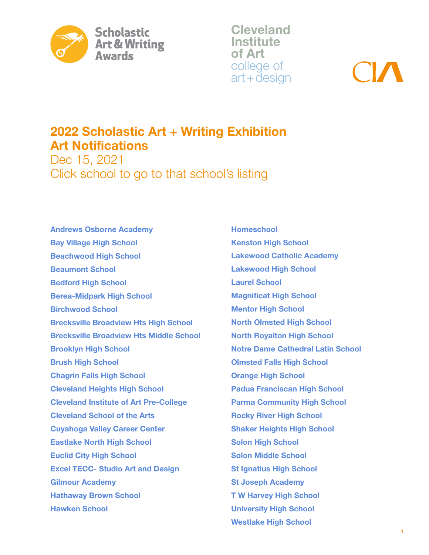

Cleveland **Institute** of Art college of art+design

# 2022 Scholastic Art + Writing Exhibition Art Notifications

Dec 15, 2021 Click school to go to that school's listing

[Andrews Osborne Academy](#page-1-0) [Bay Village High School](#page-1-0) [Beachwood High School](#page-2-0) [Beaumont School](#page-2-0) [Bedford High School](#page-2-0) [Berea-Midpark High School](#page-3-0) [Birchwood School](#page-3-0) [Brecksville Broadview Hts High School](#page-3-0) [Brecksville Broadview Hts Middle School](#page-4-0) [Brooklyn High School](#page-4-0) [Brush High School](#page-4-0) [Chagrin Falls High School](#page-5-0) [Cleveland Heights High School](#page-6-0) [Cleveland Institute of Art Pre-College](#page-6-0)  [Cleveland School of the Arts](#page-6-0) [Cuyahoga Valley Career Center](#page-7-0) [Eastlake North High School](#page-7-0) [Euclid City High School](#page-7-0) [Excel TECC- Studio Art and Design](#page-8-0) [Gilmour Academy](#page-8-0) [Hathaway Brown School](#page-8-0) [Hawken School](#page-10-0)

[Homeschool](#page-11-0) [Kenston High School](#page-11-0) [Lakewood Catholic Academy](#page-12-0) [Lakewood High School](#page-12-0) [Laurel School](#page-13-0) [Magnificat High School](#page-14-0) [Mentor High School](#page-14-0) [North Olmsted High School](#page-14-0) [North Royalton High School](#page-15-0) [Notre Dame Cathedral Latin School](#page-15-0) [Olmsted Falls High School](#page-16-0) [Orange High School](#page-16-0) [Padua Franciscan High School](#page-17-0) [Parma Community High School](#page-17-0) [Rocky River High School](#page-18-0) [Shaker Heights High School](#page-18-0) [Solon High School](#page-20-0) [Solon Middle School](#page-20-0) [St Ignatius High School](#page-20-0) [St Joseph Academy](#page-21-0) [T W Harvey High School](#page-22-0) [University High School](#page-22-0) [Westlake High School](#page-23-0)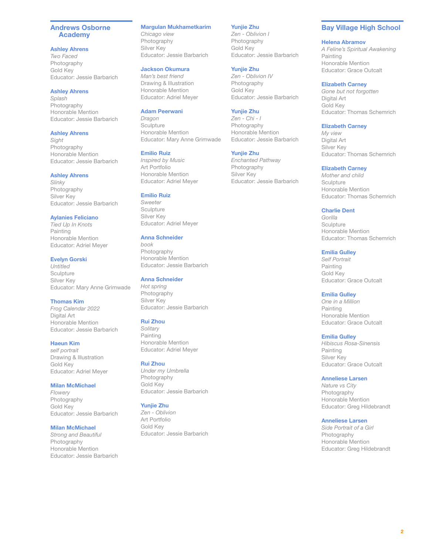### <span id="page-1-0"></span>Andrews Osborne Academy

### Ashley Ahrens

*Two Faced* Photography Gold Key Educator: Jessie Barbarich

### Ashley Ahrens

*Splash* Photography Honorable Mention Educator: Jessie Barbarich

### Ashley Ahrens

*Sight* Photography Honorable Mention Educator: Jessie Barbarich

### Ashley Ahrens

*Slinky* Photography Silver Key Educator: Jessie Barbarich

### Aylanies Feliciano

*Tied Up In Knots* Painting Honorable Mention Educator: Adriel Meyer

### Evelyn Gorski

*Untitled* **Sculpture** Silver Key Educator: Mary Anne Grimwade

### Thomas Kim

*Frog Calendar 2022* Digital Art Honorable Mention Educator: Jessie Barbarich

### Haeun Kim

*self portrait* Drawing & Illustration Gold Key Educator: Adriel Meyer

### Milan McMichael

*Flowery* Photography Gold Key Educator: Jessie Barbarich

### Milan McMichael

*Strong and Beautiful* Photography Honorable Mention Educator: Jessie Barbarich

### Margulan Mukhametkarim

*Chicago view* Photography Silver Key Educator: Jessie Barbarich

# Jackson Okumura

*Man's best friend* Drawing & Illustration Honorable Mention Educator: Adriel Meyer

### Adam Peerwani

*Dragon* Sculpture Honorable Mention Educator: Mary Anne Grimwade

### Emilio Ruiz

*Inspired by Music* Art Portfolio Honorable Mention Educator: Adriel Meyer

### Emilio Ruiz

*Sweeter* **Sculpture** Silver Key Educator: Adriel Meyer

### Anna Schneider

*book* Photography Honorable Mention Educator: Jessie Barbarich

### Anna Schneider

*Hot spring* Photography Silver Key Educator: Jessie Barbarich

### Rui Zhou

*Solitary* Painting Honorable Mention Educator: Adriel Meyer

### Rui Zhou

*Under my Umbrella* Photography Gold Key Educator: Jessie Barbarich

### Yunjie Zhu

*Zen - Oblivion* Art Portfolio Gold Key Educator: Jessie Barbarich

# Yunjie Zhu

*Zen - Oblivion I* Photography Gold Key Educator: Jessie Barbarich

### Yunjie Zhu

*Zen - Oblivion IV* Photography Gold Key Educator: Jessie Barbarich

### Yunjie Zhu

*Zen - Chi - I* Photography Honorable Mention Educator: Jessie Barbarich

### Yunjie Zhu

*Enchanted Pathway* Photography Silver Key Educator: Jessie Barbarich

# Bay Village High School

#### Helena Abramov

*A Feline's Spiritual Awakening* Painting Honorable Mention Educator: Grace Outcalt

### Elizabeth Carney

*Gone but not forgotten* Digital Art Gold Key Educator: Thomas Schemrich

### Elizabeth Carney

*My view* Digital Art Silver Key Educator: Thomas Schemrich

### Elizabeth Carney

*Mother and child* **Sculpture** Honorable Mention Educator: Thomas Schemrich

### Charlie Dent

*Gorilla* **Sculpture** Honorable Mention Educator: Thomas Schemrich

### Emilia Gulley

*Self Portrait* Painting Gold Key Educator: Grace Outcalt

### Emilia Gulley

*One in a Million* Painting Honorable Mention Educator: Grace Outcalt

### Emilia Gulley

*Hibiscus Rosa-Sinensis* Painting Silver Key Educator: Grace Outcalt

### Anneliese Larsen

*Nature vs City* Photography Honorable Mention Educator: Greg Hildebrandt

### Anneliese Larsen

*Side Portrait of a Girl* Photography Honorable Mention Educator: Greg Hildebrandt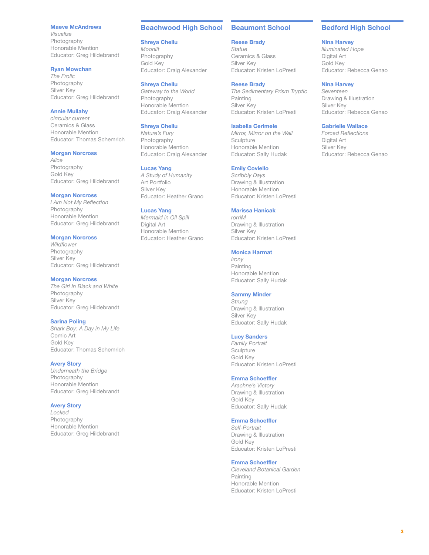#### <span id="page-2-0"></span>Maeve McAndrews

*Visualize* Photography Honorable Mention Educator: Greg Hildebrandt

#### Ryan Mowchan

*The Frolic* Photography Silver Key Educator: Greg Hildebrandt

### Annie Mullahy

*cirrcular current* Ceramics & Glass Honorable Mention Educator: Thomas Schemrich

#### Morgan Norcross

*Alice* Photography Gold Key Educator: Greg Hildebrandt

### Morgan Norcross

*I Am Not My Reflection* Photography Honorable Mention Educator: Greg Hildebrandt

#### Morgan Norcross

*Wildflower* Photography Silver Key Educator: Greg Hildebrandt

#### Morgan Norcross

*The Girl In Black and White* Photography Silver Key Educator: Greg Hildebrandt

#### Sarina Poling

*Shark Boy: A Day in My Life* Comic Art Gold Key Educator: Thomas Schemrich

#### Avery Story

*Underneath the Bridge* Photography Honorable Mention Educator: Greg Hildebrandt

#### Avery Story

*Locked* Photography Honorable Mention Educator: Greg Hildebrandt

#### Beachwood High School

### Shreya Chellu

*Moonlit* Photography Gold Key Educator: Craig Alexander

#### Shreya Chellu

*Gateway to the World* Photography Honorable Mention Educator: Craig Alexander

# Shreya Chellu

*Nature's Fury* Photography Honorable Mention Educator: Craig Alexander

#### Lucas Yang

*A Study of Humanity* Art Portfolio Silver Key Educator: Heather Grano

#### Lucas Yang

*Mermaid in Oil Spill* Digital Art Honorable Mention Educator: Heather Grano

### Beaumont School

#### Reese Brady

*Statue* Ceramics & Glass Silver Key Educator: Kristen LoPresti

### Reese Brady

*The Sedimentary Prism Tryptic* Painting Silver Key Educator: Kristen LoPresti

#### Isabella Cerimele

*Mirror, Mirror on the Wall* **Sculpture** Honorable Mention Educator: Sally Hudak

#### Emily Coviello

*Scribbly Days* Drawing & Illustration Honorable Mention Educator: Kristen LoPresti

### Marissa Hanicak

*rorriM* Drawing & Illustration Silver Key Educator: Kristen LoPresti

#### Monica Harmat

*Irony* Painting Honorable Mention Educator: Sally Hudak

### Sammy Minder

*Strung* Drawing & Illustration Silver Key Educator: Sally Hudak

### Lucy Sanders

*Family Portrait* **Sculpture** Gold Key Educator: Kristen LoPresti

#### Emma Schoeffler

*Arachne's Victory* Drawing & Illustration Gold Key Educator: Sally Hudak

### Emma Schoeffler

*Self-Portrait* Drawing & Illustration Gold Key Educator: Kristen LoPresti

### Emma Schoeffler

*Cleveland Botanical Garden* Painting Honorable Mention Educator: Kristen LoPresti

# Bedford High School

### Nina Harvey

*Illuminated Hope* Digital Art Gold Key Educator: Rebecca Genao

# Nina Harvey

*Seventeen* Drawing & Illustration Silver Key Educator: Rebecca Genao

### Gabrielle Wallace

*Forced Reflections* Digital Art Silver Key Educator: Rebecca Genao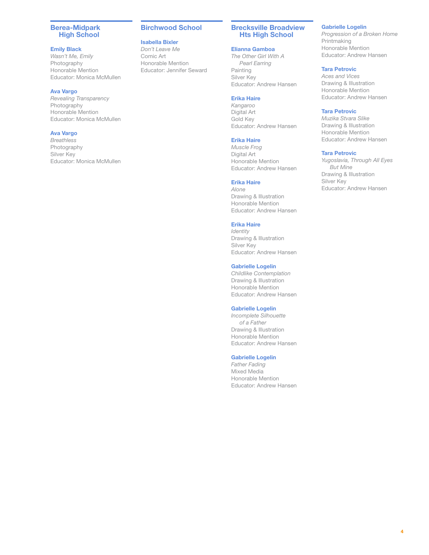### <span id="page-3-0"></span>Berea-Midpark High School

### Emily Black

*Wasn't Me, Emily* Photography Honorable Mention Educator: Monica McMullen

### Ava Vargo

*Revealing Transparency* Photography Honorable Mention Educator: Monica McMullen

# Ava Vargo

*Breathless* Photography Silver Key Educator: Monica McMullen

# Birchwood School

# Isabella Bixler

*Don't Leave Me* Comic Art Honorable Mention Educator: Jennifer Seward

# Brecksville Broadview Hts High School

### Elianna Gamboa

*The Other Girl With A Pearl Earring* Painting Silver Key Educator: Andrew Hansen

### Erika Haire

*Kangaroo* Digital Art Gold Key Educator: Andrew Hansen

### Erika Haire

*Muscle Frog* Digital Art Honorable Mention Educator: Andrew Hansen

# Erika Haire

*Alone* Drawing & Illustration Honorable Mention Educator: Andrew Hansen

# Erika Haire

*Identity* Drawing & Illustration Silver Key Educator: Andrew Hansen

### Gabrielle Logelin

*Childlike Contemplation* Drawing & Illustration Honorable Mention Educator: Andrew Hansen

### Gabrielle Logelin

*Incomplete Silhouette of a Father* Drawing & Illustration Honorable Mention Educator: Andrew Hansen

### Gabrielle Logelin

*Father Fading* Mixed Media Honorable Mention Educator: Andrew Hansen

# Gabrielle Logelin

*Progression of a Broken Home* **Printmaking** Honorable Mention Educator: Andrew Hansen

# Tara Petrovic

*Aces and Vices* Drawing & Illustration Honorable Mention Educator: Andrew Hansen

### Tara Petrovic

*Muzika Stvara Slike* Drawing & Illustration Honorable Mention Educator: Andrew Hansen

### Tara Petrovic

*Yugoslavia, Through All Eyes But Mine* Drawing & Illustration Silver Key Educator: Andrew Hansen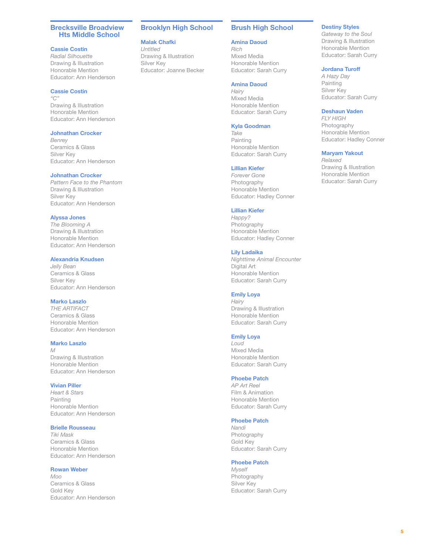### <span id="page-4-0"></span>Brecksville Broadview Hts Middle School

### Cassie Costin

*Radial Silhouette* Drawing & Illustration Honorable Mention Educator: Ann Henderson

### Cassie Costin

*"C"* Drawing & Illustration Honorable Mention Educator: Ann Henderson

### Johnathan Crocker

*Benrey* Ceramics & Glass Silver Key Educator: Ann Henderson

#### Johnathan Crocker

*Pattern Face to the Phantom* Drawing & Illustration Silver Key Educator: Ann Henderson

#### Alyssa Jones

*The Blooming A* Drawing & Illustration Honorable Mention Educator: Ann Henderson

### Alexandria Knudsen

*Jelly Bean* Ceramics & Glass Silver Key Educator: Ann Henderson

### Marko Laszlo

*THE ARTIFACT* Ceramics & Glass Honorable Mention Educator: Ann Henderson

#### Marko Laszlo

*M* Drawing & Illustration Honorable Mention Educator: Ann Henderson

# Vivian Piller

*Heart & Stars* Painting Honorable Mention Educator: Ann Henderson

### Brielle Rousseau

*Tiki Mask* Ceramics & Glass Honorable Mention Educator: Ann Henderson

### Rowan Weber

*Moo* Ceramics & Glass Gold Key Educator: Ann Henderson

### Brooklyn High School

### Malak Chafki

*Untitled* Drawing & Illustration Silver Key Educator: Joanne Becker

### Brush High School

Amina Daoud

*Rich* Mixed Media Honorable Mention Educator: Sarah Curry

### Amina Daoud

*Hairy* Mixed Media Honorable Mention Educator: Sarah Curry

#### Kyla Goodman

*Take* Painting Honorable Mention Educator: Sarah Curry

#### Lillian Kiefer

*Forever Gone* Photography Honorable Mention Educator: Hadley Conner

#### Lillian Kiefer

*Happy?* Photography Honorable Mention Educator: Hadley Conner

#### Lily Ladaika

*Nighttime Animal Encounter* Digital Art Honorable Mention Educator: Sarah Curry

### Emily Loya

*Hairy* Drawing & Illustration Honorable Mention Educator: Sarah Curry

### Emily Loya

*Loud* Mixed Media Honorable Mention Educator: Sarah Curry

#### Phoebe Patch

*AP Art Reel* Film & Animation Honorable Mention Educator: Sarah Curry

### Phoebe Patch

*Nandi* Photography Gold Key Educator: Sarah Curry

# Phoebe Patch

*Myself* Photography Silver Key Educator: Sarah Curry

### Destiny Styles

*Gateway to the Soul* Drawing & Illustration Honorable Mention Educator: Sarah Curry

# Jordana Turoff

*A Hazy Day* Painting Silver Key Educator: Sarah Curry

### Deshaun Vaden

*FLY HIGH* Photography Honorable Mention Educator: Hadley Conner

#### Maryam Yakout

*Relaxed* Drawing & Illustration Honorable Mention Educator: Sarah Curry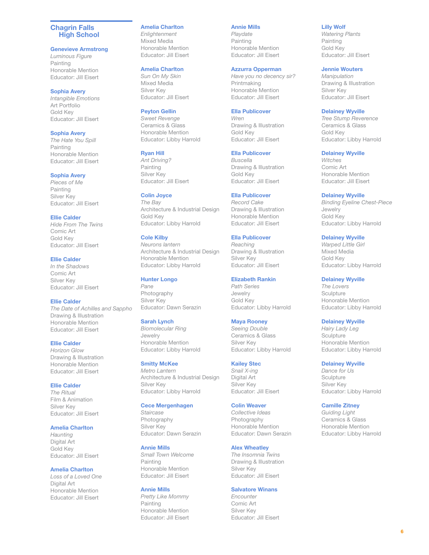### <span id="page-5-0"></span>Chagrin Falls High School

#### Genevieve Armstrong

*Luminous Figure* Painting Honorable Mention Educator: Jill Eisert

Sophia Avery *Intangible Emotions* Art Portfolio Gold Key Educator: Jill Eisert

Sophia Avery

*The Hate You Spill* Painting Honorable Mention Educator: Jill Eisert

Sophia Avery

*Pieces of Me* Painting Silver Key Educator: Jill Eisert

Ellie Calder

*Hide From The Twins* Comic Art Gold Key Educator: Jill Eisert

### Ellie Calder

*In the Shadows* Comic Art Silver Key Educator: Jill Eisert

Ellie Calder *The Date of Achilles and Sappho* Drawing & Illustration Honorable Mention Educator: Jill Eisert

Ellie Calder

*Horizon Glow* Drawing & Illustration Honorable Mention Educator: Jill Eisert

### Ellie Calder

*The Ritual* Film & Animation Silver Key Educator: Jill Eisert

### Amelia Charlton

*Haunting* Digital Art Gold Key Educator: Jill Eisert

### Amelia Charlton

*Loss of a Loved One* Digital Art Honorable Mention Educator: Jill Eisert

### Amelia Charlton

*Enlightenment* Mixed Media Honorable Mention Educator: Jill Eisert

# Amelia Charlton

*Sun On My Skin* Mixed Media Silver Key Educator: Jill Eisert

### Peyton Gellin

*Sweet Revenge* Ceramics & Glass Honorable Mention Educator: Libby Harrold

### Ryan Hill

*Ant Driving?* Painting Silver Key Educator: Jill Eisert

Colin Joyce *The Bay* Architecture & Industrial Design Gold Key Educator: Libby Harrold

# Cole Kilby

*Neurons lantern* Architecture & Industrial Design Honorable Mention Educator: Libby Harrold

### Hunter Longo

*Pane* Photography Silver Key Educator: Dawn Serazin

### Sarah Lynch

*Biomolecular Ring* Jewelry Honorable Mention Educator: Libby Harrold

# Smitty McKee

*Metro Lantern* Architecture & Industrial Design Silver Key Educator: Libby Harrold

# Cece Mergenhagen

*Staircase* Photography Silver Key Educator: Dawn Serazin

### Annie Mills

*Small Town Welcome* Painting Honorable Mention Educator: Jill Eisert

Annie Mills *Pretty Like Mommy* Painting Honorable Mention Educator: Jill Eisert

#### Annie Mills

*Playdate* Painting Honorable Mention Educator: Jill Eisert

### Azzurra Opperman

*Have you no decency sir?* Printmaking Honorable Mention Educator: Jill Eisert

### Ella Publicover

*Wren* Drawing & Illustration Gold Key Educator: Jill Eisert

### Ella Publicover

*Buscella* Drawing & Illustration Gold Key Educator: Jill Eisert

### Ella Publicover

*Record Cake* Drawing & Illustration Honorable Mention Educator: Jill Eisert

# Ella Publicover

*Reaching* Drawing & Illustration Silver Key Educator: Jill Eisert

# Elizabeth Rankin

*Path Series* Jewelry Gold Key Educator: Libby Harrold

### Maya Rooney

*Seeing Double* Ceramics & Glass Silver Key Educator: Libby Harrold

#### Kailey Stec

*Snail X-ing* Digital Art Silver Key Educator: Jill Eisert

# Colin Weaver

*Collective Ideas* Photography Honorable Mention Educator: Dawn Serazin

#### Alex Wheatley

*The Insomnia Twins* Drawing & Illustration Silver Key Educator: Jill Eisert

#### Salvatore Winans

*Encounter* Comic Art Silver Key Educator: Jill Eisert

### Lilly Wolf

*Watering Plants* Painting Gold Key Educator: Jill Eisert

# Jennie Wouters

*Manipulation* Drawing & Illustration Silver Key Educator: Jill Eisert

### Delainey Wyville

*Tree Stump Reverence* Ceramics & Glass Gold Key Educator: Libby Harrold

#### Delainey Wyville

*Witches* Comic Art Honorable Mention Educator: Jill Eisert

#### Delainey Wyville

*Binding Eyeline Chest-Piece* Jewelry Gold Key Educator: Libby Harrold

### Delainey Wyville

*Warped Little Girl* Mixed Media Gold Key Educator: Libby Harrold

### Delainey Wyville

*The Lovers* **Sculpture** Honorable Mention Educator: Libby Harrold

### Delainey Wyville

*Hairy Lady Leg* **Sculpture** Honorable Mention Educator: Libby Harrold

### Delainey Wyville

*Dance for Us* **Sculpture** Silver Key Educator: Libby Harrold

### Camille Zitney

*Guiding Light* Ceramics & Glass Honorable Mention Educator: Libby Harrold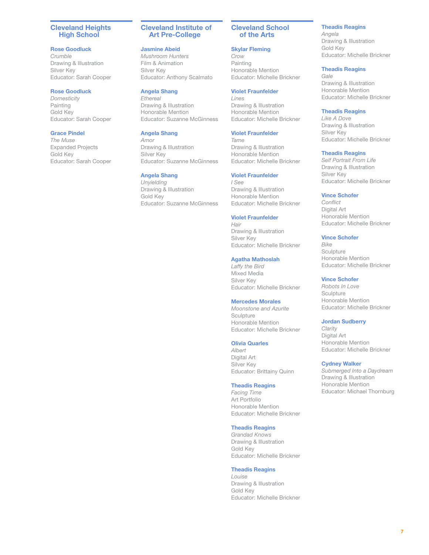### <span id="page-6-0"></span>Cleveland Heights High School

### Rose Goodluck

*Crumble* Drawing & Illustration Silver Key Educator: Sarah Cooper

# Rose Goodluck

*Domesticity* Painting Gold Key Educator: Sarah Cooper

### Grace Pindel

*The Muse* Expanded Projects Gold Key Educator: Sarah Cooper

### Cleveland Institute of Art Pre-College

#### Jasmine Abeid

*Mushroom Hunters* Film & Animation Silver Key Educator: Anthony Scalmato

### Angela Shang

*Ethereal* Drawing & Illustration Honorable Mention Educator: Suzanne McGinness

### Angela Shang

*Amor* Drawing & Illustration Silver Key Educator: Suzanne McGinness

### Angela Shang

*Unyielding* Drawing & Illustration Gold Key Educator: Suzanne McGinness

### Cleveland School of the Arts

# Skylar Fleming

*Crow* Painting Honorable Mention Educator: Michelle Brickner

# Violet Fraunfelder

*Lines* Drawing & Illustration Honorable Mention Educator: Michelle Brickner

### Violet Fraunfelder

*Tame* Drawing & Illustration Honorable Mention Educator: Michelle Brickner

### Violet Fraunfelder

*I See* Drawing & Illustration Honorable Mention Educator: Michelle Brickner

#### Violet Fraunfelder

*Hair* Drawing & Illustration Silver Key Educator: Michelle Brickner

### Agatha Mathoslah

*Laffy the Bird* Mixed Media Silver Key Educator: Michelle Brickner

### Mercedes Morales

*Moonstone and Azurite* **Sculpture** Honorable Mention Educator: Michelle Brickner

#### Olivia Quarles

*Albert* Digital Art Silver Key Educator: Brittainy Quinn

### Theadis Reagins

*Facing Time* Art Portfolio Honorable Mention Educator: Michelle Brickner

### Theadis Reagins

*Grandad Knows* Drawing & Illustration Gold Key Educator: Michelle Brickner

### Theadis Reagins

*Louise* Drawing & Illustration Gold Key Educator: Michelle Brickner

### Theadis Reagins

*Angela* Drawing & Illustration Gold Key Educator: Michelle Brickner

### Theadis Reagins

*Gale* Drawing & Illustration Honorable Mention Educator: Michelle Brickner

### Theadis Reagins

*Like A Dove* Drawing & Illustration Silver Key Educator: Michelle Brickner

#### Theadis Reagins

*Self Portrait From Life* Drawing & Illustration Silver Key Educator: Michelle Brickner

### Vince Schofer

*Conflict* Digital Art Honorable Mention Educator: Michelle Brickner

### Vince Schofer

*Bike* **Sculpture** Honorable Mention Educator: Michelle Brickner

### Vince Schofer

*Robots In Love* **Sculpture** Honorable Mention Educator: Michelle Brickner

### Jordan Sudberry

*Clarity* Digital Art Honorable Mention Educator: Michelle Brickner

### Cydney Walker

*Submerged Into a Daydream* Drawing & Illustration Honorable Mention Educator: Michael Thornburg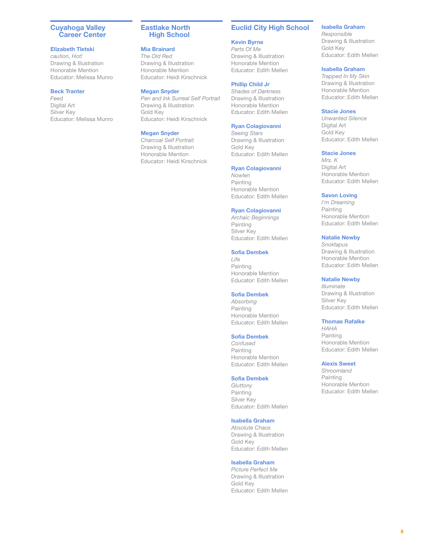### <span id="page-7-0"></span>Cuyahoga Valley Career Center

### Elizabeth Tletski

*caution, Hot!* Drawing & Illustration Honorable Mention Educator: Melissa Munro

### Beck Tranter

*Feed* Digital Art Silver Key Educator: Melissa Munro Eastlake North High School

### Mia Brainard

*The Old Red* Drawing & Illustration Honorable Mention Educator: Heidi Kirschnick

#### Megan Snyder

*Pen and Ink Surreal Self Portrait* Drawing & Illustration Gold Key Educator: Heidi Kirschnick

### Megan Snyder

*Charcoal Self Portrait* Drawing & Illustration Honorable Mention Educator: Heidi Kirschnick

# Euclid City High School

Kevin Byrne *Parts Of Me* Drawing & Illustration Honorable Mention Educator: Edith Mellen

### Phillip Child Jr

*Shades of Darkness* Drawing & Illustration Honorable Mention Educator: Edith Mellen

### Ryan Colagiovanni

*Seeing Stars* Drawing & Illustration Gold Key Educator: Edith Mellen

#### Ryan Colagiovanni

*Nowlen* Painting Honorable Mention Educator: Edith Mellen

#### Ryan Colagiovanni

*Archaic Beginnings* Painting Silver Key Educator: Edith Mellen

#### Sofia Dembek

*Life* Painting Honorable Mention Educator: Edith Mellen

### Sofia Dembek

*Absorbing* Painting Honorable Mention Educator: Edith Mellen

### Sofia Dembek

*Confused* Painting Honorable Mention Educator: Edith Mellen

#### Sofia Dembek

*Gluttony* Painting Silver Key Educator: Edith Mellen

### Isabella Graham

*Absolute Chaos* Drawing & Illustration Gold Key Educator: Edith Mellen

### Isabella Graham

*Picture Perfect Me* Drawing & Illustration Gold Key Educator: Edith Mellen

### Isabella Graham

*Responsible* Drawing & Illustration Gold Key Educator: Edith Mellen

### Isabella Graham

*Trapped In My Skin* Drawing & Illustration Honorable Mention Educator: Edith Mellen

#### Stacie Jones

*Unwanted Silence* Digital Art Gold Key Educator: Edith Mellen

#### Stacie Jones

*Mrs. K* Digital Art Honorable Mention Educator: Edith Mellen

### Savon Loving

*I'm Dreaming* Painting Honorable Mention Educator: Edith Mellen

#### Natalie Newby

*Snoktapus* Drawing & Illustration Honorable Mention Educator: Edith Mellen

### Natalie Newby

*Illuminate* Drawing & Illustration Silver Key Educator: Edith Mellen

#### Thomas Rafalke

*HAHA* Painting Honorable Mention Educator: Edith Mellen

#### Alexis Sweet

*Shroomland* Painting Honorable Mention Educator: Edith Mellen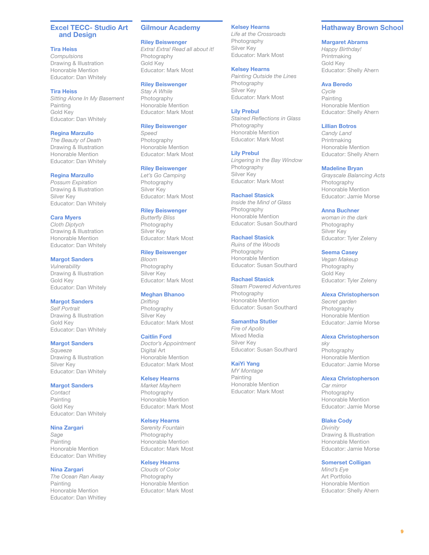### <span id="page-8-0"></span>Excel TECC- Studio Art and Design

### Tira Heiss

*Compulsions* Drawing & Illustration Honorable Mention Educator: Dan Whitely

Tira Heiss *Sitting Alone In My Basement* Painting Gold Key Educator: Dan Whitely

#### Regina Marzullo

*The Beauty of Death* Drawing & Illustration Honorable Mention Educator: Dan Whitely

#### Regina Marzullo

*Possum Expiration* Drawing & Illustration Silver Key Educator: Dan Whitely

#### Cara Myers

*Cloth Diptych* Drawing & Illustration Honorable Mention Educator: Dan Whitely

### Margot Sanders

*Vulnerability* Drawing & Illustration Gold Key Educator: Dan Whitely

Margot Sanders *Self Portrait* Drawing & Illustration Gold Key Educator: Dan Whitely

#### Margot Sanders

*Squeeze* Drawing & Illustration Silver Key Educator: Dan Whitely

#### Margot Sanders

*Contact* Painting Gold Key Educator: Dan Whitely

#### Nina Zargari

*Sage* Painting Honorable Mention Educator: Dan Whitley

#### Nina Zargari

*The Ocean Ran Away* Painting Honorable Mention Educator: Dan Whitley

### Gilmour Academy

#### Riley Beiswenger

*Extra! Extra! Read all about it!* Photography Gold Key Educator: Mark Most

### Riley Beiswenger

*Stay A While* Photography Honorable Mention Educator: Mark Most

# Riley Beiswenger

*Speed* Photography Honorable Mention Educator: Mark Most

#### Riley Beiswenger

*Let's Go Camping* Photography Silver Key Educator: Mark Most

### Riley Beiswenger

*Butterfly Bliss* Photography Silver Key Educator: Mark Most

#### Riley Beiswenger

*Bloom* Photography Silver Key Educator: Mark Most

### Meghan Bhanoo

*Drifting* Photography Silver Key Educator: Mark Most

#### Caitlin Ford

*Doctor's Appointment* Digital Art Honorable Mention Educator: Mark Most

#### Kelsey Hearns

*Market Mayhem* Photography Honorable Mention Educator: Mark Most

### Kelsey Hearns

*Serenity Fountain* Photography Honorable Mention Educator: Mark Most

### Kelsey Hearns

*Clouds of Color* Photography Honorable Mention Educator: Mark Most

### Kelsey Hearns

*Life at the Crossroads* Photography Silver Key Educator: Mark Most

### Kelsey Hearns

*Painting Outside the Lines* Photography Silver Key Educator: Mark Most

#### Lily Prebul

*Stained Reflections in Glass* Photography Honorable Mention Educator: Mark Most

#### Lily Prebul

*Lingering in the Bay Window* Photography Silver Key Educator: Mark Most

#### Rachael Stasick

*Inside the Mind of Glass* Photography Honorable Mention Educator: Susan Southard

#### Rachael Stasick

*Ruins of the Woods* Photography Honorable Mention Educator: Susan Southard

### Rachael Stasick

*Steam Powered Adventures* Photography Honorable Mention Educator: Susan Southard

### Samantha Stutler

*Fire of Apollo* Mixed Media Silver Key Educator: Susan Southard

#### KaiYi Yang

*MY Montage* Painting Honorable Mention Educator: Mark Most

### Hathaway Brown School

#### Margaret Abrams

*Happy Birthday!* Printmaking Gold Key Educator: Shelly Ahern

#### Ava Beredo

*Cycle* Painting Honorable Mention Educator: Shelly Ahern

#### Lillian Botros

*Candy Land* Printmaking Honorable Mention Educator: Shelly Ahern

#### Madeline Bryan

*Grayscale Balancing Acts* Photography Honorable Mention Educator: Jamie Morse

#### Anna Buchner

*woman in the dark* Photography Silver Key Educator: Tyler Zeleny

#### Seema Casey

*Vegan Makeup* Photography Gold Key Educator: Tyler Zeleny

#### Alexa Christopherson

*Secret garden* Photography Honorable Mention Educator: Jamie Morse

#### Alexa Christopherson

*sky* Photography Honorable Mention Educator: Jamie Morse

#### Alexa Christopherson

*Car mirror* Photography Honorable Mention Educator: Jamie Morse

### Blake Cody

*Divinity* Drawing & Illustration Honorable Mention Educator: Jamie Morse

#### Somerset Colligan

*Mind's Eye* Art Portfolio Honorable Mention Educator: Shelly Ahern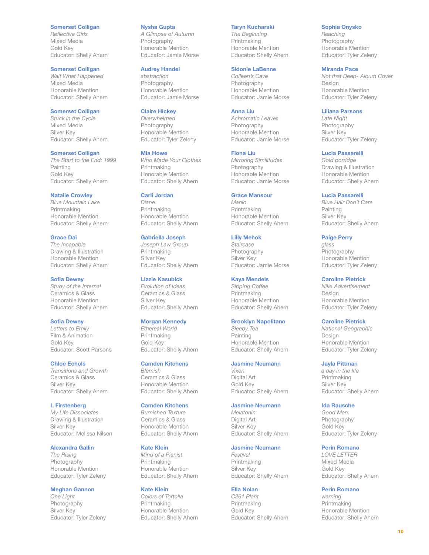#### Somerset Colligan

*Reflective Girls* Mixed Media Gold Key Educator: Shelly Ahern

### Somerset Colligan

*Wait What Happened* Mixed Media Honorable Mention Educator: Shelly Ahern

# Somerset Colligan

*Stuck in the Cycle* Mixed Media Silver Key Educator: Shelly Ahern

#### Somerset Colligan

*The Start to the End: 1999* Painting Gold Key Educator: Shelly Ahern

### Natalie Crowley

*Blue Mountain Lake* Printmaking Honorable Mention Educator: Shelly Ahern

Grace Dai *The Incapable* Drawing & Illustration Honorable Mention Educator: Shelly Ahern

#### Sofia Dewey *Study of the Internal*

Ceramics & Glass Honorable Mention Educator: Shelly Ahern

### Sofia Dewey

*Letters to Emily* Film & Animation Gold Key Educator: Scott Parsons

#### Chloe Echols

*Transitions and Growth* Ceramics & Glass Silver Key Educator: Shelly Ahern

### L Firstenberg

*My Life Dissociates* Drawing & Illustration Silver Key Educator: Melissa Nilsen

### Alexandra Gallin

*The Rising* Photography Honorable Mention Educator: Tyler Zeleny

#### Meghan Gannon

*One Light* Photography Silver Key Educator: Tyler Zeleny

#### Nysha Gupta

*A Glimpse of Autumn* Photography Honorable Mention Educator: Jamie Morse

### Audrey Handel

*abstraction* Photography Honorable Mention Educator: Jamie Morse

### Claire Hickey

*Overwhelmed* Photography Honorable Mention Educator: Tyler Zeleny

#### Mia Howe

*Who Made Your Clothes* Printmaking Honorable Mention Educator: Shelly Ahern

### Carli Jordan

*Diane* Printmaking Honorable Mention Educator: Shelly Ahern

### Gabriella Joseph

*Joseph Law Group* Printmaking Silver Key Educator: Shelly Ahern

### Lizzie Kasubick

*Evolution of Ideas* Ceramics & Glass Silver Key Educator: Shelly Ahern

### Morgan Kennedy

*Ethereal World* Printmaking Gold Key Educator: Shelly Ahern

#### Camden Kitchens *Blemish*

Ceramics & Glass Honorable Mention Educator: Shelly Ahern

# Camden Kitchens

*Burnished Texture* Ceramics & Glass Honorable Mention Educator: Shelly Ahern

### Kate Klein

*Mind of a Pianist* Printmaking Honorable Mention Educator: Shelly Ahern

#### Kate Klein

*Colors of Tortolla* Printmaking Honorable Mention Educator: Shelly Ahern

### Taryn Kucharski

*The Beginning* Printmaking Honorable Mention Educator: Shelly Ahern

### Sidonie LaBenne

*Colleen's Cave* Photography Honorable Mention Educator: Jamie Morse

#### Anna Liu

*Achromatic Leaves* Photography Honorable Mention Educator: Jamie Morse

#### Fiona Liu

*Mirroring Similitudes* Photography Honorable Mention Educator: Jamie Morse

#### Grace Mansour

*Manic* Printmaking Honorable Mention Educator: Shelly Ahern

#### Lilly Mehok

*Staircase* Photography Silver Key Educator: Jamie Morse

# Kaya Mendels

*Sipping Coffee* **Printmaking** Honorable Mention Educator: Shelly Ahern

#### Brooklyn Napolitano

*Sleepy Tea* Painting Honorable Mention Educator: Shelly Ahern

#### Jasmine Neumann

*Vixen* Digital Art Gold Key Educator: Shelly Ahern

# Jasmine Neumann

*Melatonin* Digital Art Silver Key Educator: Shelly Ahern

#### Jasmine Neumann

*Festival* Printmaking Silver Key Educator: Shelly Ahern

### Ella Nolan

*C261 Plant* Printmaking Gold Key Educator: Shelly Ahern

#### Sophia Onysko

*Reaching* Photography Honorable Mention Educator: Tyler Zeleny

### Miranda Pace

*Not that Deep- Album Cover* Design Honorable Mention Educator: Tyler Zeleny

### Liliana Parsons

*Late Night* Photography Silver Key Educator: Tyler Zeleny

### Lucia Passarelli

*Gold porridge* Drawing & Illustration Honorable Mention Educator: Shelly Ahern

#### Lucia Passarelli

*Blue Hair Don't Care* Painting Silver Key Educator: Shelly Ahern

### Paige Perry

*glass* Photography Honorable Mention Educator: Tyler Zeleny

### Caroline Pietrick

*Nike Advertisement* Design Honorable Mention Educator: Tyler Zeleny

#### Caroline Pietrick

*National Geographic* Design Honorable Mention Educator: Tyler Zeleny

### Jayla Pittman

*a day in the life* Printmaking Silver Key Educator: Shelly Ahern

### Ida Rausche

*Good Man.* Photography Gold Key Educator: Tyler Zeleny

### Perin Romano

*LOVE LETTER* Mixed Media Gold Key Educator: Shelly Ahern

### Perin Romano

*warning* Printmaking Honorable Mention Educator: Shelly Ahern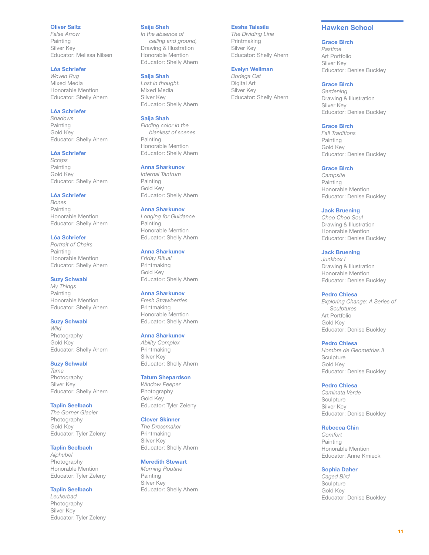### <span id="page-10-0"></span>Oliver Saltz

*False Arrow* Painting Silver Key Educator: Melissa Nilsen

# Lóa Schriefer

*Woven Rug* Mixed Media Honorable Mention Educator: Shelly Ahern

### Lóa Schriefer

*Shadows* Painting Gold Key Educator: Shelly Ahern

### Lóa Schriefer

*Scraps* Painting Gold Key Educator: Shelly Ahern

#### Lóa Schriefer

*Bones* Painting Honorable Mention Educator: Shelly Ahern

Lóa Schriefer *Portrait of Chairs* Painting Honorable Mention Educator: Shelly Ahern

#### Suzy Schwabl

*My Things* Painting Honorable Mention Educator: Shelly Ahern

### Suzy Schwabl

*Wild* Photography Gold Key Educator: Shelly Ahern

### Suzy Schwabl

*Tame* Photography Silver Key Educator: Shelly Ahern

### Taplin Seelbach

*The Gorner Glacier* Photography Gold Key Educator: Tyler Zeleny

# Taplin Seelbach

*Alphubel* Photography Honorable Mention Educator: Tyler Zeleny

### Taplin Seelbach

*Leukerbad* Photography Silver Key Educator: Tyler Zeleny

#### Saija Shah

*In the absence of ceiling and ground,* Drawing & Illustration Honorable Mention Educator: Shelly Ahern

### Saija Shah

*Lost in thought.* Mixed Media Silver Key Educator: Shelly Ahern

#### Saija Shah

*Finding color in the blankest of scenes* Painting Honorable Mention Educator: Shelly Ahern

### Anna Sharkunov

*Internal Tantrum* Painting Gold Key Educator: Shelly Ahern

### Anna Sharkunov

*Longing for Guidance* Painting Honorable Mention Educator: Shelly Ahern

#### Anna Sharkunov

*Friday Ritual* Printmaking Gold Key Educator: Shelly Ahern

### Anna Sharkunov

*Fresh Strawberries* Printmaking Honorable Mention Educator: Shelly Ahern

#### Anna Sharkunov

*Ability Complex* Printmaking Silver Key Educator: Shelly Ahern

#### Tatum Shepardson

*Window Peeper* Photography Gold Key Educator: Tyler Zeleny

#### Clover Skinner

*The Dressmaker* Printmaking Silver Key Educator: Shelly Ahern

### Meredith Stewart

*Morning Routine* Painting Silver Key Educator: Shelly Ahern

### Eesha Talasila

*The Dividing Line* Printmaking Silver Key Educator: Shelly Ahern

#### Evelyn Wellman *Bodega Cat*

Digital Art Silver Key Educator: Shelly Ahern

### Hawken School

### Grace Birch

*Pastime* Art Portfolio Silver Key Educator: Denise Buckley

### Grace Birch

*Gardening* Drawing & Illustration Silver Key Educator: Denise Buckley

#### Grace Birch

*Fall Traditions* Painting Gold Key Educator: Denise Buckley

#### Grace Birch

*Campsite* Painting Honorable Mention Educator: Denise Buckley

### Jack Bruening

*Choo Choo Soul* Drawing & Illustration Honorable Mention Educator: Denise Buckley

### Jack Bruening

*Junkbox I* Drawing & Illustration Honorable Mention Educator: Denise Buckley

### Pedro Chiesa

*Exploring Change: A Series of Sculptures* Art Portfolio Gold Key Educator: Denise Buckley

#### Pedro Chiesa

*Hombre de Geometrias II* **Sculpture** Gold Key Educator: Denise Buckley

### Pedro Chiesa

*Caminata Verde* **Sculpture** Silver Key Educator: Denise Buckley

### Rebecca Chin

*Comfort* Painting Honorable Mention Educator: Anne Kmieck

### Sophia Daher

*Caged Bird* **Sculpture** Gold Key Educator: Denise Buckley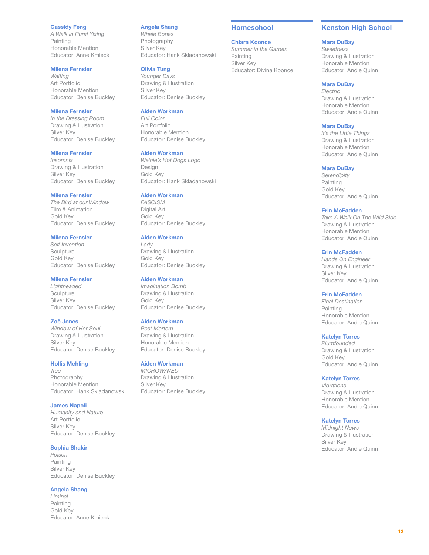### <span id="page-11-0"></span>Cassidy Feng

*A Walk in Rural Yixing* Painting Honorable Mention Educator: Anne Kmieck

### Milena Fernsler

*Waiting* Art Portfolio Honorable Mention Educator: Denise Buckley

### Milena Fernsler

*In the Dressing Room* Drawing & Illustration Silver Key Educator: Denise Buckley

#### Milena Fernsler

*Insomnia* Drawing & Illustration Silver Key Educator: Denise Buckley

### Milena Fernsler

*The Bird at our Window* Film & Animation Gold Key Educator: Denise Buckley

#### Milena Fernsler *Self Invention*

**Sculpture** Gold Key Educator: Denise Buckley

### Milena Fernsler

*Lightheaded* **Sculpture** Silver Key Educator: Denise Buckley

#### Zoë Jones

*Window of Her Soul* Drawing & Illustration Silver Key Educator: Denise Buckley

#### Hollis Mehling

*Tree* Photography Honorable Mention Educator: Hank Skladanowski

### James Napoli

*Humanity and Nature* Art Portfolio Silver Key Educator: Denise Buckley

### Sophia Shakir

*Poison* Painting Silver Key Educator: Denise Buckley

#### Angela Shang

*Liminal* Painting Gold Key Educator: Anne Kmieck

#### Angela Shang

*Whale Bones* Photography Silver Key Educator: Hank Skladanowski

# Olivia Tung

*Younger Days* Drawing & Illustration Silver Key Educator: Denise Buckley

### Aiden Workman

*Full Color* Art Portfolio Honorable Mention Educator: Denise Buckley

#### Aiden Workman

*Weinie's Hot Dogs Logo* Design Gold Key Educator: Hank Skladanowski

## Aiden Workman

*FASCISM* Digital Art Gold Key Educator: Denise Buckley

### Aiden Workman

*Lady* Drawing & Illustration Gold Key Educator: Denise Buckley

### Aiden Workman

*Imagination Bomb* Drawing & Illustration Gold Key Educator: Denise Buckley

### Aiden Workman

*Post Mortem* Drawing & Illustration Honorable Mention Educator: Denise Buckley

### Aiden Workman

*MICROWAVED* Drawing & Illustration Silver Key Educator: Denise Buckley

### Homeschool

#### Chiara Koonce

*Summer in the Garden* Painting Silver Key Educator: Divina Koonce

# Kenston High School

#### Mara DuBay

*Sweetness* Drawing & Illustration Honorable Mention Educator: Andie Quinn

### Mara DuBay

*Electric* Drawing & Illustration Honorable Mention Educator: Andie Quinn

#### Mara DuBay

*It's the Little Things* Drawing & Illustration Honorable Mention Educator: Andie Quinn

#### Mara DuBay

*Serendipity* Painting Gold Key Educator: Andie Quinn

### Erin McFadden

*Take A Walk On The Wild Side* Drawing & Illustration Honorable Mention Educator: Andie Quinn

### Erin McFadden

*Hands On Engineer* Drawing & Illustration Silver Key Educator: Andie Quinn

### Erin McFadden

*Final Destination* Painting Honorable Mention Educator: Andie Quinn

### Katelyn Torres

*Plumfounded* Drawing & Illustration Gold Key Educator: Andie Quinn

#### Katelyn Torres

*Vibrations* Drawing & Illustration Honorable Mention Educator: Andie Quinn

### Katelyn Torres

*Midnight News* Drawing & Illustration Silver Key Educator: Andie Quinn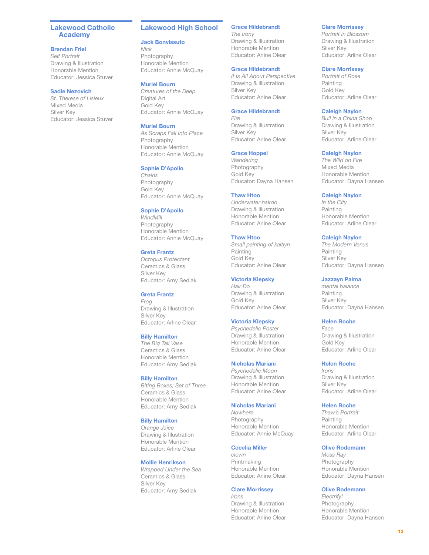### <span id="page-12-0"></span>Lakewood Catholic Academy

#### Brendan Friel

*Self Portrait* Drawing & Illustration Honorable Mention Educator: Jessica Stuver

### Sadie Nezovich

*St. Therese of Lisieux* Mixed Media Silver Key Educator: Jessica Stuver

### Lakewood High School

### Jack Bonvissuto

*Nick* **Photography** Honorable Mention Educator: Annie McQuay

#### Muriel Bourn

*Creatures of the Deep* Digital Art Gold Key Educator: Annie McQuay

### Muriel Bourn

*As Scraps Fall Into Place* Photography Honorable Mention Educator: Annie McQuay

### Sophie D'Apollo

*Chains* Photography Gold Key Educator: Annie McQuay

### Sophie D'Apollo

*WindMill* Photography Honorable Mention Educator: Annie McQuay

# Greta Frantz

*Octopus Protectant* Ceramics & Glass Silver Key Educator: Amy Sedlak

### Greta Frantz

*Frog* Drawing & Illustration Silver Key Educator: Arline Olear

### Billy Hamilton

*The Big Tall Vase* Ceramics & Glass Honorable Mention Educator: Amy Sedlak

### Billy Hamilton

*Biting Boxes; Set of Three* Ceramics & Glass Honorable Mention Educator: Amy Sedlak

### Billy Hamilton

*Orange Juice* Drawing & Illustration Honorable Mention Educator: Arline Olear

### Mollie Henrikson

*Wrapped Under the Sea* Ceramics & Glass Silver Key Educator: Amy Sedlak

### Grace Hildebrandt

*The Irony* Drawing & Illustration Honorable Mention Educator: Arline Olear

### Grace Hildebrandt

*It Is All About Perspective* Drawing & Illustration Silver Key Educator: Arline Olear

### Grace Hildebrandt

*Fire* Drawing & Illustration Silver Key Educator: Arline Olear

### Grace Hoppel

*Wandering* Photography Gold Key Educator: Dayna Hansen

#### Thaw Htoo

*Underwater hairdo* Drawing & Illustration Honorable Mention Educator: Arline Olear

#### Thaw Htoo

*Small painting of kaitlyn* Painting Gold Key Educator: Arline Olear

### Victoria Klepsky

*Hair Do* Drawing & Illustration Gold Key Educator: Arline Olear

### Victoria Klepsky

*Psychedelic Poster* Drawing & Illustration Honorable Mention Educator: Arline Olear

#### Nicholas Mariani

*Psychedelic Moon* Drawing & Illustration Honorable Mention Educator: Arline Olear

# Nicholas Mariani

*Nowhere* Photography Honorable Mention Educator: Annie McQuay

### Cecelia Miller

*clown* Printmaking Honorable Mention Educator: Arline Olear

#### Clare Morrissey

*Irons* Drawing & Illustration Honorable Mention Educator: Arline Olear

### Clare Morrissey

*Portrait in Blossom* Drawing & Illustration Silver Key Educator: Arline Olear

### Clare Morrissey

*Portrait of Rose* Painting Gold Key Educator: Arline Olear

### Caleigh Naylon

*Bull in a China Shop* Drawing & Illustration Silver Key Educator: Arline Olear

### Caleigh Naylon

*The Wild on Fire* Mixed Media Honorable Mention Educator: Dayna Hansen

### Caleigh Naylon

*In the City* Painting Honorable Mention Educator: Arline Olear

### Caleigh Naylon

*The Modern Venus* Painting Silver Key Educator: Dayna Hansen

### Jazzayn Palma

*mental balance* Painting Silver Key Educator: Dayna Hansen

### Helen Roche

*Face* Drawing & Illustration Gold Key Educator: Arline Olear

### Helen Roche

*Irons* Drawing & Illustration Silver Key Educator: Arline Olear

### Helen Roche

*Thaw's Portrait* Painting Honorable Mention Educator: Arline Olear

### Olive Rodemann

*Moss Ray* Photography Honorable Mention Educator: Dayna Hansen

### Olive Rodemann

*Electrify!* Photography Honorable Mention Educator: Dayna Hansen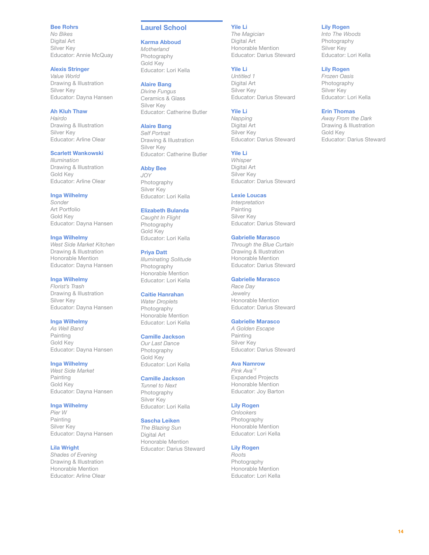### <span id="page-13-0"></span>Bee Rohrs

*No Bikes* Digital Art Silver Key Educator: Annie McQuay

### Alexis Stringer

*Value World* Drawing & Illustration Silver Key Educator: Dayna Hansen

# Ah Kluh Thaw

*Hairdo* Drawing & Illustration Silver Key Educator: Arline Olear

### Scarlett Wankowski

*Illumination* Drawing & Illustration Gold Key Educator: Arline Olear

#### Inga Wilhelmy

*Sonder* Art Portfolio Gold Key Educator: Dayna Hansen

Inga Wilhelmy *West Side Market Kitchen* Drawing & Illustration Honorable Mention Educator: Dayna Hansen

# Inga Wilhelmy

*Florist's Trash* Drawing & Illustration Silver Key Educator: Dayna Hansen

### Inga Wilhelmy

*As Well Band* Painting Gold Key Educator: Dayna Hansen

### Inga Wilhelmy

*West Side Market* Painting Gold Key Educator: Dayna Hansen

### Inga Wilhelmy

*Pier W* Painting Silver Key Educator: Dayna Hansen

### Lila Wright

*Shades of Evening* Drawing & Illustration Honorable Mention Educator: Arline Olear

# Laurel School

### Karma Abboud

*Motherland* Photography Gold Key Educator: Lori Kella

# Alaire Bang

*Divine Fungus* Ceramics & Glass Silver Key Educator: Catherine Butler

# Alaire Bang

*Self Portrait* Drawing & Illustration Silver Key Educator: Catherine Butler

#### Abby Bee

*JOY* Photography Silver Key Educator: Lori Kella

### Elizabeth Bulanda

*Caught In Flight* Photography Gold Key Educator: Lori Kella

#### Priya Datt

*Illuminating Solitude* Photography Honorable Mention Educator: Lori Kella

### Caitie Hanrahan

*Water Droplets* Photography Honorable Mention Educator: Lori Kella

#### Camille Jackson

*Our Last Dance* Photography Gold Key Educator: Lori Kella

#### Camille Jackson

*Tunnel to Next* Photography Silver Key Educator: Lori Kella

### Sascha Leiken

*The Blazing Sun* Digital Art Honorable Mention Educator: Darius Steward

# Yile Li

*The Magician* Digital Art Honorable Mention Educator: Darius Steward

# Yile Li

*Untitled 1* Digital Art Silver Key Educator: Darius Steward

### Yile Li

*Napping* Digital Art Silver Key Educator: Darius Steward

# Yile Li

*Whisper* Digital Art Silver Key Educator: Darius Steward

## Lexie Loucas

*Interpretation* Painting Silver Key Educator: Darius Steward

# Gabrielle Marasco

*Through the Blue Curtain* Drawing & Illustration Honorable Mention Educator: Darius Steward

### Gabrielle Marasco

*Race Day* Jewelry Honorable Mention Educator: Darius Steward

### Gabrielle Marasco

*A Golden Escape* Painting Silver Key Educator: Darius Steward

### Ava Namrow

*Pink Ava^2* Expanded Projects Honorable Mention Educator: Joy Barton

# Lily Rogen

*Onlookers* Photography Honorable Mention Educator: Lori Kella

# Lily Rogen

*Roots* Photography Honorable Mention Educator: Lori Kella

# Lily Rogen

*Into The Woods* Photography Silver Key Educator: Lori Kella

# Lily Rogen

*Frozen Oasis* Photography Silver Key Educator: Lori Kella

### Erin Thomas

*Away From the Dark* Drawing & Illustration Gold Key Educator: Darius Steward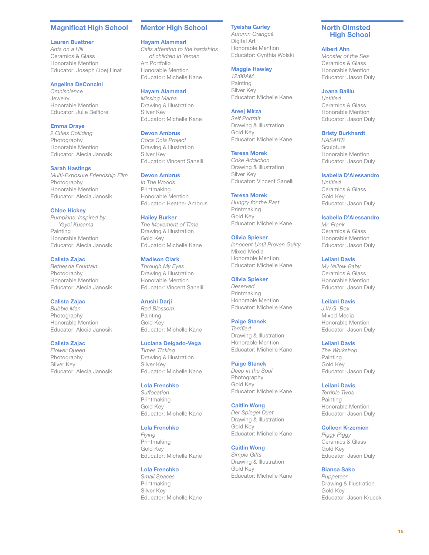### <span id="page-14-0"></span>Magnificat High School

#### Lauren Buettner

*Ants on a Hill* Ceramics & Glass Honorable Mention Educator: Joseph (Joe) Hnat

### Angelina DeConcini

*Omniscience* Jewelry Honorable Mention Educator: Julie Belfiore

### Emma Draye

*2 Cities Colliding* Photography Honorable Mention Educator: Alecia Janosik

#### Sarah Hastings

*Multi-Exposure Friendship Film* Photography Honorable Mention Educator: Alecia Janosik

#### Chloe Hickey

*Pumpkins: Inspired by Yayoi Kusama* Painting Honorable Mention Educator: Alecia Janosik

### Calista Zajac

*Bethesda Fountain* Photography Honorable Mention Educator: Alecia Janosik

### Calista Zajac

*Bubble Man* Photography Honorable Mention Educator: Alecia Janosik

#### Calista Zajac

*Flower Queen* Photography Silver Key Educator: Alecia Janosik

### Mentor High School

#### Hayam Alammari

*Calls attention to the hardships of children in Yemen* Art Portfolio Honorable Mention Educator: Michelle Kane

Hayam Alammari

*Missing Mama* Drawing & Illustration Silver Key Educator: Michelle Kane

#### Devon Ambrus

*Coca Cola Project* Drawing & Illustration Silver Key Educator: Vincent Sanelli

### Devon Ambrus

*In The Woods* Printmaking Honorable Mention Educator: Heather Ambrus

#### Hailey Burker

*The Movement of Time* Drawing & Illustration Gold Key Educator: Michelle Kane

### Madison Clark

*Through My Eyes* Drawing & Illustration Honorable Mention Educator: Vincent Sanelli

### Arushi Darji

*Red Blossom* Painting Gold Key Educator: Michelle Kane

#### Luciana Delgado-Vega

*Times Ticking* Drawing & Illustration Silver Key Educator: Michelle Kane

#### Lola Frenchko

*Suffocation* Printmaking Gold Key Educator: Michelle Kane

### Lola Frenchko

*Flying* Printmaking Gold Key Educator: Michelle Kane

### Lola Frenchko

*Small Spaces* Printmaking Silver Key Educator: Michelle Kane

## Tyeisha Gurley

*Autumn Orangcé* Digital Art Honorable Mention Educator: Cynthia Wolski

#### Maggie Hawley *12:00AM*

Painting Silver Key Educator: Michelle Kane

#### Areej Mirza

*Self Portrait* Drawing & Illustration Gold Key Educator: Michelle Kane

#### Teresa Morek

*Coke Addiction* Drawing & Illustration Silver Key Educator: Vincent Sanelli

#### Teresa Morek

*Hungry for the Past* Printmaking Gold Key Educator: Michelle Kane

#### Olivia Spieker

*Innocent Until Proven Guilty* Mixed Media Honorable Mention Educator: Michelle Kane

### Olivia Spieker

*Deserved* Printmaking Honorable Mention Educator: Michelle Kane

#### Paige Stanek

*Terrified* Drawing & Illustration Honorable Mention Educator: Michelle Kane

#### Paige Stanek

*Deep in the Soul* Photography Gold Key Educator: Michelle Kane

### Caitlin Wong

*Der Spiegel Duet* Drawing & Illustration Gold Key Educator: Michelle Kane

#### Caitlin Wong

*Simple Gifts* Drawing & Illustration Gold Key Educator: Michelle Kane

### North Olmsted High School

#### Albert Ahn

*Monster of the Sea* Ceramics & Glass Honorable Mention Educator: Jason Duly

### Joana Balliu

*Untitled* Ceramics & Glass Honorable Mention Educator: Jason Duly

#### Bristy Burkhardt

*HASAITS* **Sculpture** Honorable Mention Educator: Jason Duly

#### Isabella D'Alessandro

*Untitled* Ceramics & Glass Gold Key Educator: Jason Duly

### Isabella D'Alessandro

*Mr. Frank* Ceramics & Glass Honorable Mention Educator: Jason Duly

### Leilani Davis

*My Yellow Baby* Ceramics & Glass Honorable Mention Educator: Jason Duly

### Leilani Davis

*J.W.G. Box* Mixed Media Honorable Mention Educator: Jason Duly

#### Leilani Davis

*The Workshop* Painting Gold Key Educator: Jason Duly

#### Leilani Davis

*Terrible Twos* Painting Honorable Mention Educator: Jason Duly

### Colleen Krzemien

*Piggy Piggy* Ceramics & Glass Gold Key Educator: Jason Duly

#### Bianca Sako

*Puppeteer* Drawing & Illustration Gold Key Educator: Jason Krucek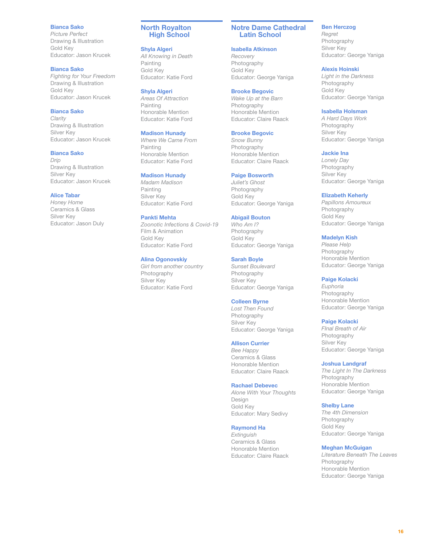### <span id="page-15-0"></span>Bianca Sako

*Picture Perfect* Drawing & Illustration Gold Key Educator: Jason Krucek

# Bianca Sako

*Fighting for Your Freedom* Drawing & Illustration Gold Key Educator: Jason Krucek

### Bianca Sako

*Clarity* Drawing & Illustration Silver Key Educator: Jason Krucek

### Bianca Sako

*Drip* Drawing & Illustration Silver Key Educator: Jason Krucek

## Alice Tabar

*Honey Home* Ceramics & Glass Silver Key Educator: Jason Duly

### North Royalton High School

#### Shyla Algeri

*All Knowing in Death* Painting Gold Key Educator: Katie Ford

#### Shyla Algeri

*Areas Of Attraction* Painting Honorable Mention Educator: Katie Ford

### Madison Hunady

*Where We Came From* Painting Honorable Mention Educator: Katie Ford

### Madison Hunady

*Madam Madison* Painting Silver Key Educator: Katie Ford

### Pankti Mehta

*Zoonotic Infections & Covid-19* Film & Animation Gold Key Educator: Katie Ford

### Alina Ogonovskiy

*Girl from another country* Photography Silver Key Educator: Katie Ford

#### Notre Dame Cathedral Latin School

### Isabella Atkinson

*Recovery* Photography Gold Key Educator: George Yaniga

# Brooke Begovic

*Wake Up at the Barn* Photography Honorable Mention Educator: Claire Raack

#### Brooke Begovic

*Snow Bunny* Photography Honorable Mention Educator: Claire Raack

### Paige Bosworth

*Juliet's Ghost* Photography Gold Key Educator: George Yaniga

#### Abigail Bouton

*Who Am I?* Photography Gold Key Educator: George Yaniga

#### Sarah Boyle

*Sunset Boulevard* Photography Silver Key Educator: George Yaniga

#### Colleen Byrne

*Lost Then Found* Photography Silver Key Educator: George Yaniga

#### Allison Currier

*Bee Happy* Ceramics & Glass Honorable Mention Educator: Claire Raack

### Rachael Debevec

*Alone With Your Thoughts* Design Gold Key Educator: Mary Sedivy

### Raymond Ha

*Extinguish* Ceramics & Glass Honorable Mention Educator: Claire Raack

### Ben Herczog

*Regret* Photography Silver Key Educator: George Yaniga

### Alexis Hoinski

*Light in the Darkness* Photography Gold Key Educator: George Yaniga

### Isabella Holsman

*A Hard Days Work* Photography Silver Key Educator: George Yaniga

#### Jackie Ina

*Lonely Day* Photography Silver Key Educator: George Yaniga

## Elizabeth Keherly

*Papillons Amoureux* Photography Gold Key Educator: George Yaniga

#### Madelyn Kish

*Please Help* Photography Honorable Mention Educator: George Yaniga

#### Paige Kolacki

*Euphoria* Photography Honorable Mention Educator: George Yaniga

#### Paige Kolacki

*FInal Breath of Air* Photography Silver Key Educator: George Yaniga

#### Joshua Landgraf

*The Light In The Darkness* Photography Honorable Mention Educator: George Yaniga

#### Shelby Lane

*The 4th Dimension* Photography Gold Key Educator: George Yaniga

#### Meghan McGuigan

*Literature Beneath The Leaves* Photography Honorable Mention Educator: George Yaniga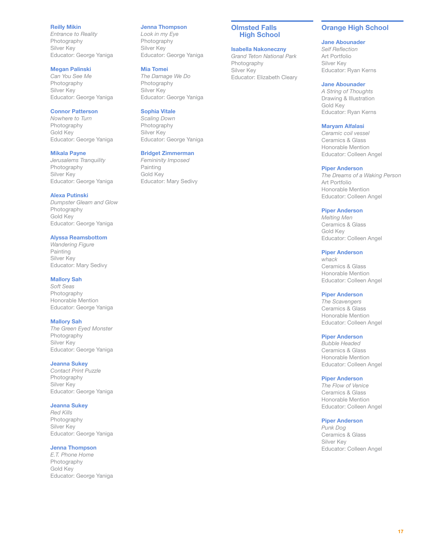### <span id="page-16-0"></span>Reilly Mikin

*Entrance to Reality* Photography Silver Key Educator: George Yaniga

### Megan Palinski

*Can You See Me* Photography Silver Key Educator: George Yaniga

# Connor Patterson

*Nowhere to Turn* Photography Gold Key Educator: George Yaniga

#### Mikala Payne

*Jerusalems Tranquility* Photography Silver Key Educator: George Yaniga

### Alexa Putinski

*Dumpster Gleam and Glow* Photography Gold Key Educator: George Yaniga

### Alyssa Reamsbottom

*Wandering Figure* Painting Silver Key Educator: Mary Sedivy

### Mallory Sah

*Soft Seas* Photography Honorable Mention Educator: George Yaniga

### Mallory Sah

*The Green Eyed Monster* Photography Silver Key Educator: George Yaniga

#### Jeanna Sukey

*Contact Print Puzzle* Photography Silver Key Educator: George Yaniga

### Jeanna Sukey

*Red Kills* Photography Silver Key Educator: George Yaniga

# Jenna Thompson

*E.T. Phone Home* Photography Gold Key Educator: George Yaniga

#### Jenna Thompson

*Look in my Eye* Photography Silver Key Educator: George Yaniga

#### Mia Tomei

*The Damage We Do* Photography Silver Key Educator: George Yaniga

# Sophia Vitale

*Scaling Down* Photography Silver Key Educator: George Yaniga

#### Bridget Zimmerman

*Femininity Imposed* Painting Gold Key Educator: Mary Sedivy

#### Olmsted Falls High School

# Isabella Nakoneczny

*Grand Teton National Park* Photography Silver Key Educator: Elizabeth Cleary

### Orange High School

### Jane Abounader

*Self Reflection* Art Portfolio Silver Key Educator: Ryan Kerns

#### Jane Abounader

*A String of Thoughts* Drawing & Illustration Gold Key Educator: Ryan Kerns

#### Maryam Alfalasi

*Ceramic coil vessel* Ceramics & Glass Honorable Mention Educator: Colleen Angel

#### Piper Anderson

*The Dreams of a Waking Person* Art Portfolio Honorable Mention Educator: Colleen Angel

#### Piper Anderson

*Melting Men* Ceramics & Glass Gold Key Educator: Colleen Angel

#### Piper Anderson

*whack* Ceramics & Glass Honorable Mention Educator: Colleen Angel

### Piper Anderson

*The Scavengers* Ceramics & Glass Honorable Mention Educator: Colleen Angel

#### Piper Anderson

*Bubble Headed* Ceramics & Glass Honorable Mention Educator: Colleen Angel

#### Piper Anderson

*The Flow of Venice* Ceramics & Glass Honorable Mention Educator: Colleen Angel

#### Piper Anderson

*Punk Dog* Ceramics & Glass Silver Key Educator: Colleen Angel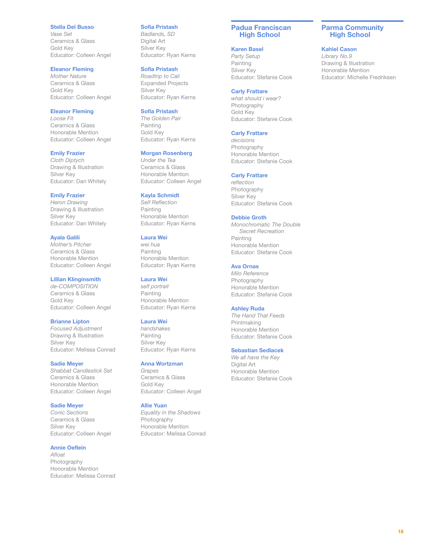#### <span id="page-17-0"></span>Stella Del Busso

*Vase Set* Ceramics & Glass Gold Key Educator: Colleen Angel

### Eleanor Fleming

*Mother Nature* Ceramics & Glass Gold Key Educator: Colleen Angel

### Eleanor Fleming

*Loose Fit* Ceramics & Glass Honorable Mention Educator: Colleen Angel

### Emily Frazier

*Cloth Diptych* Drawing & Illustration Silver Key Educator: Dan Whitely

## Emily Frazier

*Heron Drawing* Drawing & Illustration Silver Key Educator: Dan Whitely

Ayala Galili *Mother's Pitcher* Ceramics & Glass Honorable Mention Educator: Colleen Angel

# Lillian Klinginsmith

*de-COMPOSITION* Ceramics & Glass Gold Key Educator: Colleen Angel

### Brianne Lipton

*Focused Adjustment* Drawing & Illustration Silver Key Educator: Melissa Conrad

#### Sadie Meyer

*Shabbat Candlestick Set* Ceramics & Glass Honorable Mention Educator: Colleen Angel

### Sadie Meyer

*Conic Sections* Ceramics & Glass Silver Key Educator: Colleen Angel

### Annie Oeflein

*Afloat* Photography Honorable Mention Educator: Melissa Conrad

### Sofia Pristash

*Badlands, SD* Digital Art Silver Key Educator: Ryan Kerns

### Sofia Pristash

*Roadtrip to Cali* Expanded Projects Silver Key Educator: Ryan Kerns

### Sofia Pristash

*The Golden Pair* Painting Gold Key Educator: Ryan Kerns

### Morgan Rosenberg

*Under the Tea* Ceramics & Glass Honorable Mention Educator: Colleen Angel

### Kayla Schmidt

*Self Reflection* Painting Honorable Mention Educator: Ryan Kerns

### Laura Wei

*wei hua* Painting Honorable Mention Educator: Ryan Kerns

### Laura Wei

*self portrait* Painting Honorable Mention Educator: Ryan Kerns

#### Laura Wei

*handshakes* Painting Silver Key Educator: Ryan Kerns

#### Anna Wortzman

*Grapes* Ceramics & Glass Gold Key Educator: Colleen Angel

#### Allie Yuan

*Equality in the Shadows* Photography Honorable Mention Educator: Melissa Conrad

### Padua Franciscan High School

### Karen Basel

*Party Setup* Painting Silver Key Educator: Stefanie Cook

# Carly Frattare

*what should i wear?* Photography Gold Key Educator: Stefanie Cook

#### Carly Frattare

*decisions* Photography Honorable Mention Educator: Stefanie Cook

### Carly Frattare

*reflection* Photography Silver Key Educator: Stefanie Cook

#### Debbie Groth

*Monochromatic The Double Secret Recreation* Painting Honorable Mention Educator: Stefanie Cook

### Ava Ornas

*Milo Reference* Photography Honorable Mention Educator: Stefanie Cook

### Ashley Ruda

*The Hand That Feeds* Printmaking Honorable Mention Educator: Stefanie Cook

### Sebastian Sedlacek

*We all have the Key* Digital Art Honorable Mention Educator: Stefanie Cook

### Parma Community High School

#### Kahlel Cason

*Library No.9* Drawing & Illustration Honorable Mention Educator: Michelle Fredriksen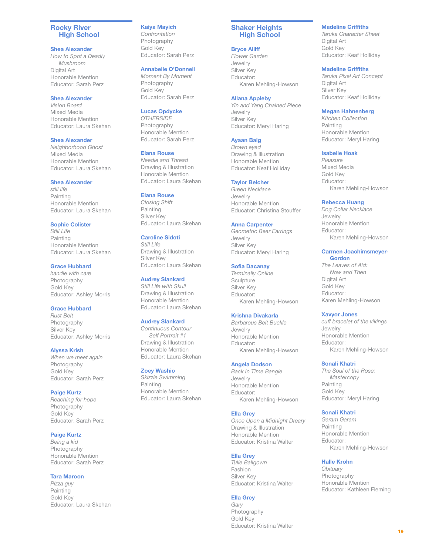### <span id="page-18-0"></span>Rocky River High School

### Shea Alexander

*How to Spot a Deadly Mushroom* Digital Art Honorable Mention Educator: Sarah Perz

### Shea Alexander

*Vision Board* Mixed Media Honorable Mention Educator: Laura Skehan

### Shea Alexander

*Neighborhood Ghost* Mixed Media Honorable Mention Educator: Laura Skehan

### Shea Alexander

*still life* Painting Honorable Mention Educator: Laura Skehan

# Sophie Colister

*Still Life* Painting Honorable Mention Educator: Laura Skehan

# Grace Hubbard

*handle with care* Photography Gold Key Educator: Ashley Morris

## Grace Hubbard

*Rust Belt* Photography Silver Key Educator: Ashley Morris

# Alyssa Krish

*When we meet again* Photography Gold Key Educator: Sarah Perz

# Paige Kurtz

*Reaching for hope* Photography Gold Key Educator: Sarah Perz

### Paige Kurtz

*Being a kid* Photography Honorable Mention Educator: Sarah Perz

### Tara Maroon

*Pizza guy* Painting Gold Key Educator: Laura Skehan

# Kaiya Mayich

*Confrontation* Photography Gold Key Educator: Sarah Perz

# Annabelle O'Donnell

*Moment By Moment* Photography Gold Key Educator: Sarah Perz

### Lucas Opdycke

*OTHERSIDE* Photography Honorable Mention Educator: Sarah Perz

### Elana Rouse

*Needle and Thread* Drawing & Illustration Honorable Mention Educator: Laura Skehan

# Elana Rouse

*Closing Shift* Painting Silver Key Educator: Laura Skehan

# Caroline Sidoti

*Still Life* Drawing & Illustration Silver Key Educator: Laura Skehan

### Audrey Slankard

*Still Life with Skull* Drawing & Illustration Honorable Mention Educator: Laura Skehan

### Audrey Slankard

*Continuous Contour Self Portrait #1* Drawing & Illustration Honorable Mention Educator: Laura Skehan

### Zoey Washio

*Skizzie Swimming* Painting Honorable Mention Educator: Laura Skehan

### Shaker Heights High School

### Bryce Ailiff

*Flower Garden* Jewelry Silver Key Educator: Karen Mehling-Howson

### Allana Appleby

*Yin and Yang Chained Piece* Jewelry Silver Key Educator: Meryl Haring

# Ayaan Baig

*Brown eyed* Drawing & Illustration Honorable Mention Educator: Keaf Holliday

### Taylor Belcher

*Green Necklace* Jewelry Honorable Mention Educator: Christina Stouffer

### Anna Carpenter

*Geometric Bear Earrings* Jewelry Silver Key Educator: Meryl Haring

# Sofia Dacanay

*Terminally Online* **Sculpture** Silver Key Educator: Karen Mehling-Howson

# Krishna Divakarla

*Barbarous Belt Buckle* Jewelry Honorable Mention Educator: Karen Mehling-Howson

### Angela Dodson

*Back In Time Bangle* Jewelry Honorable Mention Educator: Karen Mehling-Howson

### Ella Grey

*Once Upon a Midnight Dreary* Drawing & Illustration Honorable Mention Educator: Kristina Walter

# Ella Grey

*Tulle Ballgown* Fashion Silver Key Educator: Kristina Walter

# Ella Grey

*Gary* Photography Gold Key Educator: Kristina Walter

# Madeline Griffiths

*Taruka Character Sheet* Digital Art Gold Key Educator: Keaf Holliday

### Madeline Griffiths

*Taruka Pixel Art Concept* Digital Art Silver Key Educator: Keaf Holliday

### Megan Hahnenberg

*Kitchen Collection* Painting Honorable Mention Educator: Meryl Haring

### Isabelle Hoak

*Pleasure* Mixed Media Gold Key Educator: Karen Mehling-Howson

### Rebecca Huang

*Dog Collar Necklace* Jewelry Honorable Mention Educator: Karen Mehling-Howson

### Carmen Joachimsmeyer-Gordon

*The Leaves of Aid: Now and Then* Digital Art Gold Key Educator: Karen Mehling-Howson

### Xavyor Jones

*cuff bracelet of the vikings* Jewelry Honorable Mention Educator: Karen Mehling-Howson

### Sonali Khatri

*The Soul of the Rose: Mastercopy* Painting Gold Key Educator: Meryl Haring

## Sonali Khatri

*Garam Garam* Painting Honorable Mention Educator: Karen Mehling-Howson

# Halle Krohn

*Obituary* Photography Honorable Mention Educator: Kathleen Fleming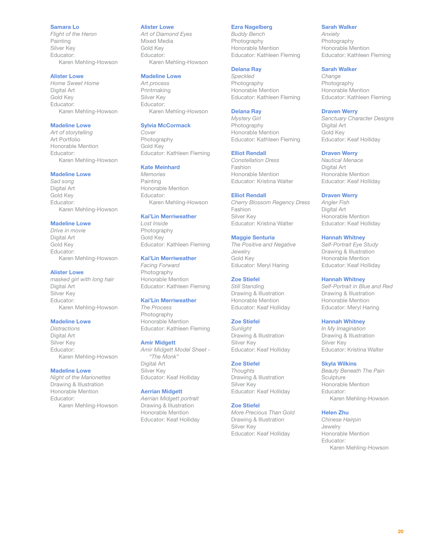### Samara Lo

*Flight of the Heron* Painting Silver Key Educator: Karen Mehling-Howson

### Alister Lowe

*Home Sweet Home* Digital Art Gold Key Educator: Karen Mehling-Howson

# Madeline Lowe

*Art of storytelling* Art Portfolio Honorable Mention Educator: Karen Mehling-Howson

### Madeline Lowe

*Sad song* Digital Art Gold Key Educator: Karen Mehling-Howson

### Madeline Lowe

*Drive in movie* Digital Art Gold Key Educator: Karen Mehling-Howson

#### Alister Lowe

*masked girl with long hair* Digital Art Silver Key Educator: Karen Mehling-Howson

### Madeline Lowe

*Distractions* Digital Art Silver Key Educator: Karen Mehling-Howson

### Madeline Lowe

*Night of the Marionettes* Drawing & Illustration Honorable Mention Educator: Karen Mehling-Howson

#### Alister Lowe

*Art of Diamond Eyes* Mixed Media Gold Key Educator: Karen Mehling-Howson

### Madeline Lowe

*Art process* Printmaking Silver Key Educator: Karen Mehling-Howson

#### Sylvia McCormack

*Cover* Photography Gold Key Educator: Kathleen Fleming

#### Kate Meinhard

*Memories* Painting Honorable Mention Educator: Karen Mehling-Howson

### Kai'Lin Merriweather

*Lost Inside* Photography Gold Key Educator: Kathleen Fleming

### Kai'Lin Merriweather

*Facing Forward* Photography Honorable Mention Educator: Kathleen Fleming

### Kai'Lin Merriweather

*The Process* Photography Honorable Mention Educator: Kathleen Fleming

#### Amir Midgett

*Amir Midgett Model Sheet - "The Monk"* Digital Art Silver Key Educator: Keaf Holliday

### Aerrian Midgett

*Aerrian Midgett portrait* Drawing & Illustration Honorable Mention Educator: Keaf Holliday

### Ezra Nagelberg

*Buddy Bench* Photography Honorable Mention Educator: Kathleen Fleming

# Delana Ray

*Speckled* Photography Honorable Mention Educator: Kathleen Fleming

### Delana Ray

*Mystery Girl* Photography Honorable Mention Educator: Kathleen Fleming

#### Elliot Rendall

*Constellation Dress* Fashion Honorable Mention Educator: Kristina Walter

#### Elliot Rendall

*Cherry Blossom Regency Dress* Fashion Silver Key Educator: Kristina Walter

### Maggie Senturia

*The Positive and Negative* Jewelry Gold Key Educator: Meryl Haring

# Zoe Stiefel

*Still Standing* Drawing & Illustration Honorable Mention Educator: Keaf Holliday

### Zoe Stiefel

*Sunlight* Drawing & Illustration Silver Key Educator: Keaf Holliday

#### Zoe Stiefel

*Thoughts* Drawing & Illustration Silver Key Educator: Keaf Holliday

### Zoe Stiefel

*More Precious Than Gold* Drawing & Illustration Silver Key Educator: Keaf Holliday

### Sarah Walker

*Anxiety* Photography Honorable Mention Educator: Kathleen Fleming

### Sarah Walker

*Change* Photography Honorable Mention Educator: Kathleen Fleming

#### Draven Werry

*Sanctuary Character Designs* Digital Art Gold Key Educator: Keaf Holliday

### Draven Werry

*Nautical Menace* Digital Art Honorable Mention Educator: Keaf Holliday

### Draven Werry

*Angler Fish* Digital Art Honorable Mention Educator: Keaf Holliday

### Hannah Whitney

*Self-Portrait Eye Study* Drawing & Illustration Honorable Mention Educator: Keaf Holliday

#### Hannah Whitney

*Self-Portrait in Blue and Red* Drawing & Illustration Honorable Mention Educator: Meryl Haring

### Hannah Whitney

*In My Imagination* Drawing & Illustration Silver Key Educator: Kristina Walter

#### Skyla Wilkins

*Beauty Beneath The Pain* **Sculpture** Honorable Mention Educator: Karen Mehling-Howson

#### Helen Zhu

*Chinese Hairpin* Jewelry Honorable Mention Educator: Karen Mehling-Howson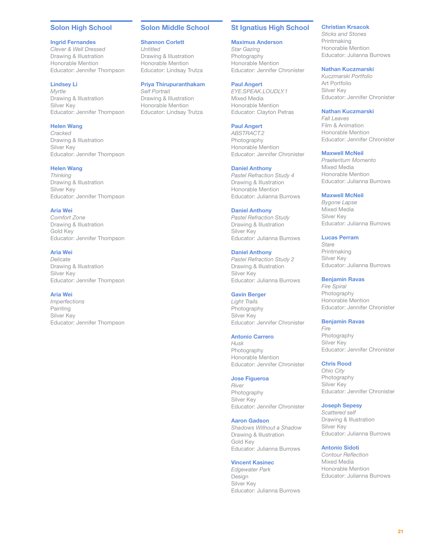# <span id="page-20-0"></span>Solon High School

#### Ingrid Fernandes

*Clever & Well Dressed* Drawing & Illustration Honorable Mention Educator: Jennifer Thompson

### Lindsey Li

*Myrtle* Drawing & Illustration Silver Key Educator: Jennifer Thompson

# Helen Wang

*Cracked* Drawing & Illustration Silver Key Educator: Jennifer Thompson

#### Helen Wang

*Thinking* Drawing & Illustration Silver Key Educator: Jennifer Thompson

#### Aria Wei

*Comfort Zone* Drawing & Illustration Gold Key Educator: Jennifer Thompson

### Aria Wei

*Delicate* Drawing & Illustration Silver Key Educator: Jennifer Thompson

# Aria Wei

*Imperfections* Painting Silver Key Educator: Jennifer Thompson

### Solon Middle School

## Shannon Corlett

*Untitled* Drawing & Illustration Honorable Mention Educator: Lindsay Trutza

### Priya Thirupuranthakam

*Self Portrait* Drawing & Illustration Honorable Mention Educator: Lindsay Trutza

# St Ignatius High School

# Maximus Anderson

*Star Gazing* **Photography** Honorable Mention Educator: Jennifer Chronister

### Paul Angert

*EYE.SPEAK.LOUDLY.1* Mixed Media Honorable Mention Educator: Clayton Petras

#### Paul Angert

*ABSTRACT.2* Photography Honorable Mention Educator: Jennifer Chronister

#### Daniel Anthony

*Pastel Refraction Study 4* Drawing & Illustration Honorable Mention Educator: Julianna Burrows

#### Daniel Anthony

*Pastel Refraction Study* Drawing & Illustration Silver Key Educator: Julianna Burrows

#### Daniel Anthony

*Pastel Refraction Study 2* Drawing & Illustration Silver Key Educator: Julianna Burrows

#### Gavin Berger

*Light Trails* Photography Silver Key Educator: Jennifer Chronister

#### Antonio Carrero

*Husk* Photography Honorable Mention Educator: Jennifer Chronister

#### Jose Figueroa

*River* Photography Silver Key Educator: Jennifer Chronister

### Aaron Gadson

*Shadows Without a Shadow* Drawing & Illustration Gold Key Educator: Julianna Burrows

### Vincent Kasinec

*Edgewater Park* Design Silver Key Educator: Julianna Burrows

# Christian Krsacok

*Sticks and Stones* Printmaking Honorable Mention Educator: Julianna Burrows

# Nathan Kuczmarski

*Kuczmarski Portfolio* Art Portfolio Silver Key Educator: Jennifer Chronister

### Nathan Kuczmarski

*Fall Leaves* Film & Animation Honorable Mention Educator: Jennifer Chronister

#### Maxwell McNeil

*Praeteritum Momento* Mixed Media Honorable Mention Educator: Julianna Burrows

### Maxwell McNeil

*Bygone Lapse* Mixed Media Silver Key Educator: Julianna Burrows

### Lucas Perram

*Stare* Printmaking Silver Key Educator: Julianna Burrows

#### Benjamin Ravas

*Fire Spiral* Photography Honorable Mention Educator: Jennifer Chronister

#### Benjamin Ravas

*Fire* Photography Silver Key Educator: Jennifer Chronister

#### Chris Rood

*Ohio City* Photography Silver Key Educator: Jennifer Chronister

### Joseph Sepesy

*Scattered self* Drawing & Illustration Silver Key Educator: Julianna Burrows

### Antonio Sidoti

*Contour Reflection* Mixed Media Honorable Mention Educator: Julianna Burrows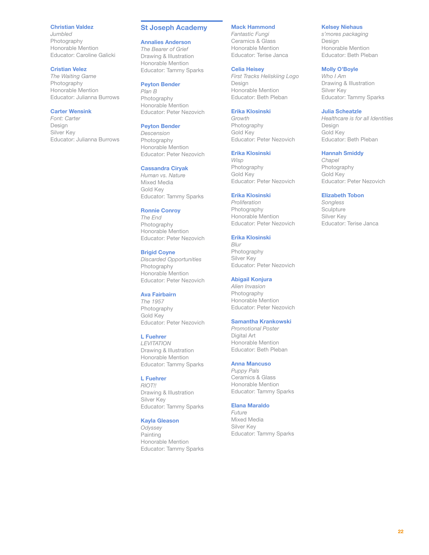### <span id="page-21-0"></span>Christian Valdez

*Jumbled* Photography Honorable Mention Educator: Caroline Galicki

### Cristian Velez

*The Waiting Game* Photography Honorable Mention Educator: Julianna Burrows

# Carter Wensink

*Font: Carter* Design Silver Key Educator: Julianna Burrows

#### St Joseph Academy

#### Annalies Anderson

*The Bearer of Grief* Drawing & Illustration Honorable Mention Educator: Tammy Sparks

### Peyton Bender

*Plan B* Photography Honorable Mention Educator: Peter Nezovich

### Peyton Bender

*Descension* Photography Honorable Mention Educator: Peter Nezovich

#### Cassandra Ciryak

*Human vs. Nature* Mixed Media Gold Key Educator: Tammy Sparks

#### Ronnie Conroy

*The End* Photography Honorable Mention Educator: Peter Nezovich

### Brigid Coyne

*Discarded Opportunities* Photography Honorable Mention Educator: Peter Nezovich

#### Ava Fairbairn

*The 1957* Photography Gold Key Educator: Peter Nezovich

#### L Fuehrer

*LEVITATION* Drawing & Illustration Honorable Mention Educator: Tammy Sparks

### L Fuehrer

*RIOT!!* Drawing & Illustration Silver Key Educator: Tammy Sparks

#### Kayla Gleason

*Odyssey* Painting Honorable Mention Educator: Tammy Sparks

### Mack Hammond

*Fantastic Fungi* Ceramics & Glass Honorable Mention Educator: Terise Janca

### Celia Heisey

*First Tracks Heliskiing Logo* Design Honorable Mention Educator: Beth Pleban

#### Erika Klosinski

*Growth* Photography Gold Key Educator: Peter Nezovich

#### Erika Klosinski

*Wisp* Photography Gold Key Educator: Peter Nezovich

#### Erika Klosinski

*Proliferation* Photography Honorable Mention Educator: Peter Nezovich

### Erika Klosinski

*Blur* Photography Silver Key Educator: Peter Nezovich

### Abigail Konjura

*Alien Invasion* Photography Honorable Mention Educator: Peter Nezovich

### Samantha Krankowski

*Promotional Poster* Digital Art Honorable Mention Educator: Beth Pleban

#### Anna Mancuso

*Puppy Pals* Ceramics & Glass Honorable Mention Educator: Tammy Sparks

### Elana Maraldo

*Future* Mixed Media Silver Key Educator: Tammy Sparks

### Kelsey Niehaus

*s'mores packaging* Design Honorable Mention Educator: Beth Pleban

### Molly O'Boyle

*Who I Am* Drawing & Illustration Silver Key Educator: Tammy Sparks

### Julia Scheatzle

*Healthcare is for all Identities* Design Gold Key Educator: Beth Pleban

#### Hannah Smiddy

*Chapel* Photography Gold Key Educator: Peter Nezovich

### Elizabeth Tobon

*Songless* **Sculpture** Silver Key Educator: Terise Janca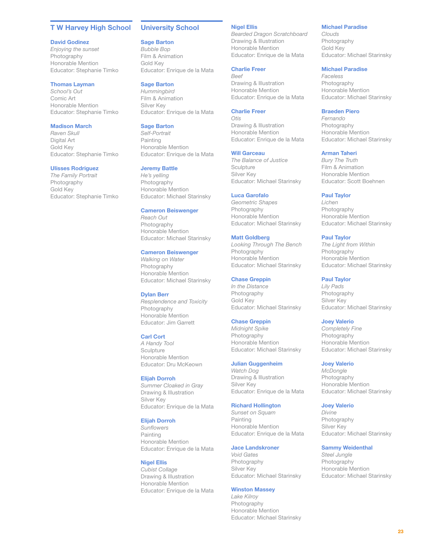### <span id="page-22-0"></span>T W Harvey High School

#### David Godinez

*Enjoying the sunset* Photography Honorable Mention Educator: Stephanie Timko

### Thomas Layman

*School's Out* Comic Art Honorable Mention Educator: Stephanie Timko

### Madison March

*Raven Skull* Digital Art Gold Key Educator: Stephanie Timko

#### Ulisses Rodriguez

*The Family Portrait* Photography Gold Key Educator: Stephanie Timko

### University School

#### Sage Barton

*Bubble Bop* Film & Animation Gold Key Educator: Enrique de la Mata

#### Sage Barton

*Hummingbird* Film & Animation Silver Key Educator: Enrique de la Mata

### **Sage Barton**

*Self-Portrait* Painting Honorable Mention Educator: Enrique de la Mata

#### Jeremy Battle

*He's yelling* Photography Honorable Mention Educator: Michael Starinsky

#### Cameron Beiswenger

*Reach Out* Photography Honorable Mention Educator: Michael Starinsky

#### Cameron Beiswenger

*Walking on Water* Photography Honorable Mention Educator: Michael Starinsky

#### Dylan Berr

*Resplendence and Toxicity* Photography Honorable Mention Educator: Jim Garrett

#### Carl Cort

*A Handy Tool* Sculpture Honorable Mention Educator: Dru McKeown

#### Elijah Dorroh

*Summer Cloaked in Gray* Drawing & Illustration Silver Key Educator: Enrique de la Mata

### Elijah Dorroh

*Sunflowers* Painting Honorable Mention Educator: Enrique de la Mata

#### Nigel Ellis

*Cubist Collage* Drawing & Illustration Honorable Mention Educator: Enrique de la Mata

# Nigel Ellis

*Bearded Dragon Scratchboard* Drawing & Illustration Honorable Mention Educator: Enrique de la Mata

# Charlie Freer

*Beef* Drawing & Illustration Honorable Mention Educator: Enrique de la Mata

### Charlie Freer

*Otis* Drawing & Illustration Honorable Mention Educator: Enrique de la Mata

# Will Garceau

*The Balance of Justice* **Sculpture** Silver Key Educator: Michael Starinsky

#### Luca Garofalo

*Geometric Shapes* Photography Honorable Mention Educator: Michael Starinsky

#### Matt Goldberg

*Looking Through The Bench* Photography Honorable Mention Educator: Michael Starinsky

### Chase Greppin

*In the Distance* Photography Gold Key Educator: Michael Starinsky

### Chase Greppin

*Midnight Spike* Photography Honorable Mention Educator: Michael Starinsky

#### Julian Guggenheim

*Watch Dog* Drawing & Illustration Silver Key Educator: Enrique de la Mata

# Richard Hollington

*Sunset on Squam* Painting Honorable Mention Educator: Enrique de la Mata

#### Jace Landskroner

*Void Gates* Photography Silver Key Educator: Michael Starinsky

#### Winston Massey

*Lake Kilroy* Photography Honorable Mention Educator: Michael Starinsky

#### Michael Paradise

*Clouds* Photography Gold Key Educator: Michael Starinsky

#### Michael Paradise

*Faceless* Photography Honorable Mention Educator: Michael Starinsky

#### Braeden Piero

*Fernando* Photography Honorable Mention Educator: Michael Starinsky

#### Arman Taheri

*Bury The Truth* Film & Animation Honorable Mention Educator: Scott Boehnen

#### Paul Taylor

*Lichen* Photography Honorable Mention Educator: Michael Starinsky

#### Paul Taylor

*The Light from Within* Photography Honorable Mention Educator: Michael Starinsky

#### Paul Taylor

*Lily Pads* Photography Silver Key Educator: Michael Starinsky

#### Joey Valerio

*Completely Fine* Photography Honorable Mention Educator: Michael Starinsky

#### Joey Valerio

*McDongle* Photography Honorable Mention Educator: Michael Starinsky

### Joey Valerio

*Divine* Photography Silver Key Educator: Michael Starinsky

### Sammy Weidenthal

*Steel Jungle* Photography Honorable Mention Educator: Michael Starinsky